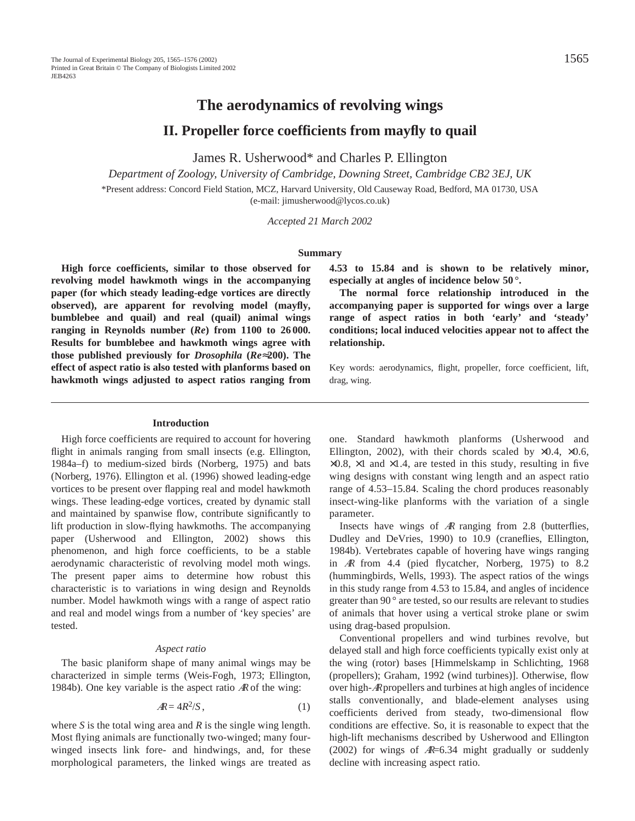# **The aerodynamics of revolving wings**

**II. Propeller force coefficients from mayfly to quail**

James R. Usherwood\* and Charles P. Ellington

*Department of Zoology, University of Cambridge, Downing Street, Cambridge CB2 3EJ, UK* \*Present address: Concord Field Station, MCZ, Harvard University, Old Causeway Road, Bedford, MA 01730, USA (e-mail: jimusherwood@lycos.co.uk)

*Accepted 21 March 2002*

#### **Summary**

**High force coefficients, similar to those observed for revolving model hawkmoth wings in the accompanying paper (for which steady leading-edge vortices are directly observed), are apparent for revolving model (mayfly, bumblebee and quail) and real (quail) animal wings ranging in Reynolds number (***Re***) from 1100 to 26 000. Results for bumblebee and hawkmoth wings agree with those published previously for** *Drosophila* **(***Re*≈**200). The effect of aspect ratio is also tested with planforms based on hawkmoth wings adjusted to aspect ratios ranging from**

**Introduction**

High force coefficients are required to account for hovering flight in animals ranging from small insects (e.g. Ellington, 1984a–f) to medium-sized birds (Norberg, 1975) and bats (Norberg, 1976). Ellington et al. (1996) showed leading-edge vortices to be present over flapping real and model hawkmoth wings. These leading-edge vortices, created by dynamic stall and maintained by spanwise flow, contribute significantly to lift production in slow-flying hawkmoths. The accompanying paper (Usherwood and Ellington, 2002) shows this phenomenon, and high force coefficients, to be a stable aerodynamic characteristic of revolving model moth wings. The present paper aims to determine how robust this characteristic is to variations in wing design and Reynolds number. Model hawkmoth wings with a range of aspect ratio and real and model wings from a number of 'key species' are tested.

### *Aspect ratio*

The basic planiform shape of many animal wings may be characterized in simple terms (Weis-Fogh, 1973; Ellington, 1984b). One key variable is the aspect ratio  $AR$  of the wing:

$$
AR = 4R^2/S, \qquad (1)
$$

where *S* is the total wing area and *R* is the single wing length. Most flying animals are functionally two-winged; many fourwinged insects link fore- and hindwings, and, for these morphological parameters, the linked wings are treated as **4.53 to 15.84 and is shown to be relatively minor, especially at angles of incidence below 50 °.**

**The normal force relationship introduced in the accompanying paper is supported for wings over a large range of aspect ratios in both 'early' and 'steady' conditions; local induced velocities appear not to affect the relationship.**

Key words: aerodynamics, flight, propeller, force coefficient, lift, drag, wing.

one. Standard hawkmoth planforms (Usherwood and Ellington, 2002), with their chords scaled by  $\times 0.4$ ,  $\times 0.6$ ,  $\times 0.8$ ,  $\times 1$  and  $\times 1.4$ , are tested in this study, resulting in five wing designs with constant wing length and an aspect ratio range of 4.53–15.84. Scaling the chord produces reasonably insect-wing-like planforms with the variation of a single parameter.

Insects have wings of <sup>A</sup><sup>R</sup> ranging from 2.8 (butterflies, Dudley and DeVries, 1990) to 10.9 (craneflies, Ellington, 1984b). Vertebrates capable of hovering have wings ranging in <sup>A</sup><sup>R</sup> from 4.4 (pied flycatcher, Norberg, 1975) to 8.2 (hummingbirds, Wells, 1993). The aspect ratios of the wings in this study range from 4.53 to 15.84, and angles of incidence greater than 90 ° are tested, so our results are relevant to studies of animals that hover using a vertical stroke plane or swim using drag-based propulsion.

Conventional propellers and wind turbines revolve, but delayed stall and high force coefficients typically exist only at the wing (rotor) bases [Himmelskamp in Schlichting, 1968 (propellers); Graham, 1992 (wind turbines)]. Otherwise, flow over high-<sup>A</sup>Rpropellers and turbines at high angles of incidence stalls conventionally, and blade-element analyses using coefficients derived from steady, two-dimensional flow conditions are effective. So, it is reasonable to expect that the high-lift mechanisms described by Usherwood and Ellington (2002) for wings of  $A \leftarrow 6.34$  might gradually or suddenly decline with increasing aspect ratio.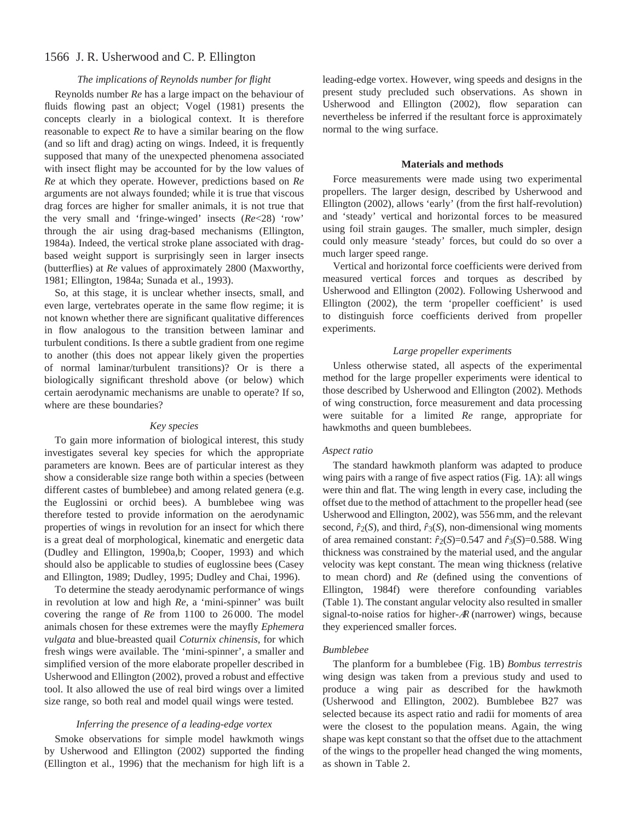## 1566 J. R. Usherwood and C. P. Ellington

## *The implications of Reynolds number for flight*

Reynolds number *Re* has a large impact on the behaviour of fluids flowing past an object; Vogel (1981) presents the concepts clearly in a biological context. It is therefore reasonable to expect *Re* to have a similar bearing on the flow (and so lift and drag) acting on wings. Indeed, it is frequently supposed that many of the unexpected phenomena associated with insect flight may be accounted for by the low values of *Re* at which they operate. However, predictions based on *Re* arguments are not always founded; while it is true that viscous drag forces are higher for smaller animals, it is not true that the very small and 'fringe-winged' insects (*Re*<28) 'row' through the air using drag-based mechanisms (Ellington, 1984a). Indeed, the vertical stroke plane associated with dragbased weight support is surprisingly seen in larger insects (butterflies) at *Re* values of approximately 2800 (Maxworthy, 1981; Ellington, 1984a; Sunada et al., 1993).

So, at this stage, it is unclear whether insects, small, and even large, vertebrates operate in the same flow regime; it is not known whether there are significant qualitative differences in flow analogous to the transition between laminar and turbulent conditions. Is there a subtle gradient from one regime to another (this does not appear likely given the properties of normal laminar/turbulent transitions)? Or is there a biologically significant threshold above (or below) which certain aerodynamic mechanisms are unable to operate? If so, where are these boundaries?

## *Key species*

To gain more information of biological interest, this study investigates several key species for which the appropriate parameters are known. Bees are of particular interest as they show a considerable size range both within a species (between different castes of bumblebee) and among related genera (e.g. the Euglossini or orchid bees). A bumblebee wing was therefore tested to provide information on the aerodynamic properties of wings in revolution for an insect for which there is a great deal of morphological, kinematic and energetic data (Dudley and Ellington, 1990a,b; Cooper, 1993) and which should also be applicable to studies of euglossine bees (Casey and Ellington, 1989; Dudley, 1995; Dudley and Chai, 1996).

To determine the steady aerodynamic performance of wings in revolution at low and high *Re*, a 'mini-spinner' was built covering the range of *Re* from 1100 to 26 000. The model animals chosen for these extremes were the mayfly *Ephemera vulgata* and blue-breasted quail *Coturnix chinensis*, for which fresh wings were available. The 'mini-spinner', a smaller and simplified version of the more elaborate propeller described in Usherwood and Ellington (2002), proved a robust and effective tool. It also allowed the use of real bird wings over a limited size range, so both real and model quail wings were tested.

## *Inferring the presence of a leading-edge vortex*

Smoke observations for simple model hawkmoth wings by Usherwood and Ellington (2002) supported the finding (Ellington et al., 1996) that the mechanism for high lift is a leading-edge vortex. However, wing speeds and designs in the present study precluded such observations. As shown in Usherwood and Ellington (2002), flow separation can nevertheless be inferred if the resultant force is approximately normal to the wing surface.

## **Materials and methods**

Force measurements were made using two experimental propellers. The larger design, described by Usherwood and Ellington (2002), allows 'early' (from the first half-revolution) and 'steady' vertical and horizontal forces to be measured using foil strain gauges. The smaller, much simpler, design could only measure 'steady' forces, but could do so over a much larger speed range.

Vertical and horizontal force coefficients were derived from measured vertical forces and torques as described by Usherwood and Ellington (2002). Following Usherwood and Ellington (2002), the term 'propeller coefficient' is used to distinguish force coefficients derived from propeller experiments.

## *Large propeller experiments*

Unless otherwise stated, all aspects of the experimental method for the large propeller experiments were identical to those described by Usherwood and Ellington (2002). Methods of wing construction, force measurement and data processing were suitable for a limited *Re* range, appropriate for hawkmoths and queen bumblebees.

#### *Aspect ratio*

The standard hawkmoth planform was adapted to produce wing pairs with a range of five aspect ratios (Fig. 1A): all wings were thin and flat. The wing length in every case, including the offset due to the method of attachment to the propeller head (see Usherwood and Ellington, 2002), was 556 mm, and the relevant second,  $\hat{r}_2(S)$ , and third,  $\hat{r}_3(S)$ , non-dimensional wing moments of area remained constant:  $\hat{r}_2(S)=0.547$  and  $\hat{r}_3(S)=0.588$ . Wing thickness was constrained by the material used, and the angular velocity was kept constant. The mean wing thickness (relative to mean chord) and *Re* (defined using the conventions of Ellington, 1984f) were therefore confounding variables (Table 1). The constant angular velocity also resulted in smaller signal-to-noise ratios for higher-<sup>A</sup><sup>R</sup> (narrower) wings, because they experienced smaller forces.

## *Bumblebee*

The planform for a bumblebee (Fig. 1B) *Bombus terrestris* wing design was taken from a previous study and used to produce a wing pair as described for the hawkmoth (Usherwood and Ellington, 2002). Bumblebee B27 was selected because its aspect ratio and radii for moments of area were the closest to the population means. Again, the wing shape was kept constant so that the offset due to the attachment of the wings to the propeller head changed the wing moments, as shown in Table 2.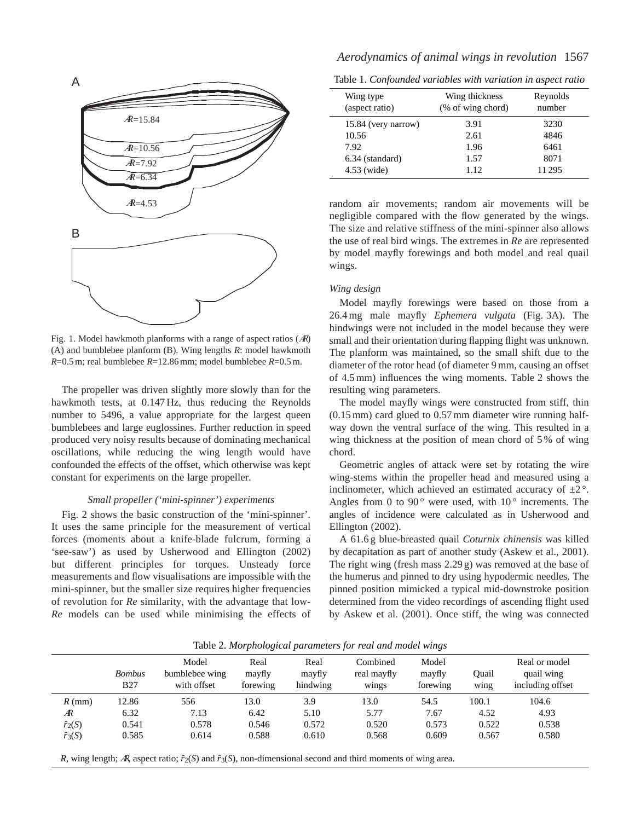

Fig. 1. Model hawkmoth planforms with a range of aspect ratios  $(AR)$ (A) and bumblebee planform (B). Wing lengths *R*: model hawkmoth *R*=0.5 m; real bumblebee *R*=12.86 mm; model bumblebee *R*=0.5 m.

The propeller was driven slightly more slowly than for the hawkmoth tests, at 0.147 Hz, thus reducing the Reynolds number to 5496, a value appropriate for the largest queen bumblebees and large euglossines. Further reduction in speed produced very noisy results because of dominating mechanical oscillations, while reducing the wing length would have confounded the effects of the offset, which otherwise was kept constant for experiments on the large propeller.

#### *Small propeller ('mini-spinner') experiments*

Fig. 2 shows the basic construction of the 'mini-spinner'. It uses the same principle for the measurement of vertical forces (moments about a knife-blade fulcrum, forming a 'see-saw') as used by Usherwood and Ellington (2002) but different principles for torques. Unsteady force measurements and flow visualisations are impossible with the mini-spinner, but the smaller size requires higher frequencies of revolution for *Re* similarity, with the advantage that low-*Re* models can be used while minimising the effects of

Table 1. *Confounded variables with variation in aspect ratio*

| Wing type<br>(aspect ratio) | Wing thickness<br>(% of wing chord) | Reynolds<br>number |  |  |
|-----------------------------|-------------------------------------|--------------------|--|--|
| 15.84 (very narrow)         | 3.91                                | 3230               |  |  |
| 10.56                       | 2.61                                | 4846               |  |  |
| 7.92                        | 1.96                                | 6461               |  |  |
| 6.34 (standard)             | 1.57                                | 8071               |  |  |
| 4.53 (wide)                 | 1.12                                | 11295              |  |  |

random air movements; random air movements will be negligible compared with the flow generated by the wings. The size and relative stiffness of the mini-spinner also allows the use of real bird wings. The extremes in *Re* are represented by model mayfly forewings and both model and real quail wings.

#### *Wing design*

Model mayfly forewings were based on those from a 26.4 mg male mayfly *Ephemera vulgata* (Fig. 3A). The hindwings were not included in the model because they were small and their orientation during flapping flight was unknown. The planform was maintained, so the small shift due to the diameter of the rotor head (of diameter 9 mm, causing an offset of 4.5 mm) influences the wing moments. Table 2 shows the resulting wing parameters.

The model mayfly wings were constructed from stiff, thin (0.15 mm) card glued to 0.57 mm diameter wire running halfway down the ventral surface of the wing. This resulted in a wing thickness at the position of mean chord of 5 % of wing chord.

Geometric angles of attack were set by rotating the wire wing-stems within the propeller head and measured using a inclinometer, which achieved an estimated accuracy of  $\pm 2^{\circ}$ . Angles from 0 to 90 $^{\circ}$  were used, with 10 $^{\circ}$  increments. The angles of incidence were calculated as in Usherwood and Ellington (2002).

A 61.6 g blue-breasted quail *Coturnix chinensis* was killed by decapitation as part of another study (Askew et al., 2001). The right wing (fresh mass 2.29 g) was removed at the base of the humerus and pinned to dry using hypodermic needles. The pinned position mimicked a typical mid-downstroke position determined from the video recordings of ascending flight used by Askew et al. (2001). Once stiff, the wing was connected

|                | <b>Bombus</b><br>B27 | Model<br>bumblebee wing<br>with offset | Real<br>mayfly<br>forewing | Real<br>mayfly<br>hindwing | Combined<br>real mayfly<br>wings | Model<br>mayfly<br>forewing | Ouail<br>wing | Real or model<br>quail wing<br>including offset |
|----------------|----------------------|----------------------------------------|----------------------------|----------------------------|----------------------------------|-----------------------------|---------------|-------------------------------------------------|
| $R$ (mm)       | 12.86                | 556                                    | 13.0                       | 3.9                        | 13.0                             | 54.5                        | 100.1         | 104.6                                           |
| Æ              | 6.32                 | 7.13                                   | 6.42                       | 5.10                       | 5.77                             | 7.67                        | 4.52          | 4.93                                            |
| $\hat{r}_2(S)$ | 0.541                | 0.578                                  | 0.546                      | 0.572                      | 0.520                            | 0.573                       | 0.522         | 0.538                                           |
| $\hat{r}_3(S)$ | 0.585                | 0.614                                  | 0.588                      | 0.610                      | 0.568                            | 0.609                       | 0.567         | 0.580                                           |

Table 2. *Morphological parameters for real and model wings*

*R*, wing length; AR, aspect ratio;  $\hat{r}_2(S)$  and  $\hat{r}_3(S)$ , non-dimensional second and third moments of wing area.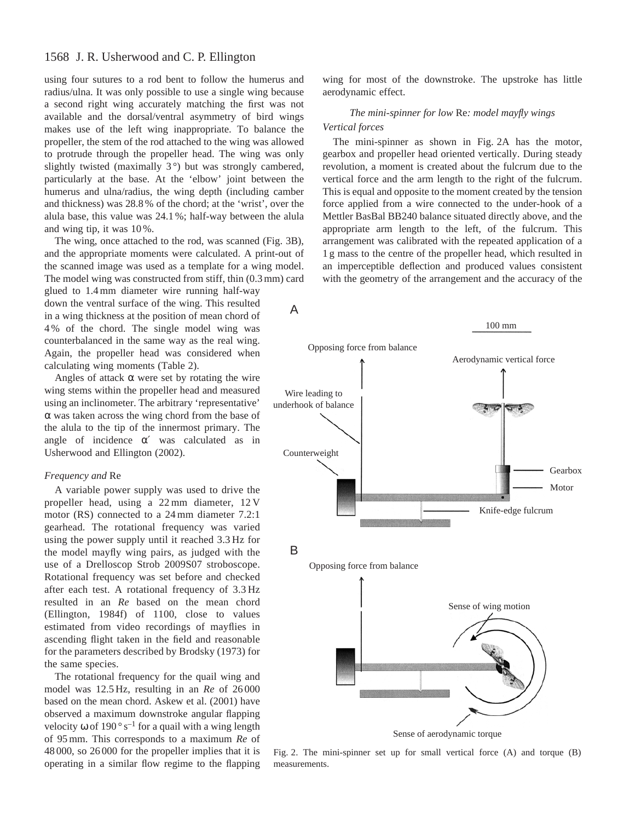## 1568 J. R. Usherwood and C. P. Ellington

using four sutures to a rod bent to follow the humerus and radius/ulna. It was only possible to use a single wing because a second right wing accurately matching the first was not available and the dorsal/ventral asymmetry of bird wings makes use of the left wing inappropriate. To balance the propeller, the stem of the rod attached to the wing was allowed to protrude through the propeller head. The wing was only slightly twisted (maximally  $3^{\circ}$ ) but was strongly cambered, particularly at the base. At the 'elbow' joint between the humerus and ulna/radius, the wing depth (including camber and thickness) was 28.8 % of the chord; at the 'wrist', over the alula base, this value was 24.1 %; half-way between the alula and wing tip, it was 10 %.

The wing, once attached to the rod, was scanned (Fig. 3B), and the appropriate moments were calculated. A print-out of the scanned image was used as a template for a wing model. The model wing was constructed from stiff, thin (0.3 mm) card

glued to 1.4 mm diameter wire running half-way down the ventral surface of the wing. This resulted in a wing thickness at the position of mean chord of 4 % of the chord. The single model wing was counterbalanced in the same way as the real wing. Again, the propeller head was considered when calculating wing moments (Table 2).

Angles of attack  $\alpha$  were set by rotating the wire wing stems within the propeller head and measured using an inclinometer. The arbitrary 'representative' α was taken across the wing chord from the base of the alula to the tip of the innermost primary. The angle of incidence  $\alpha'$  was calculated as in Usherwood and Ellington (2002).

#### *Frequency and* Re

A variable power supply was used to drive the propeller head, using a 22 mm diameter, 12 V motor (RS) connected to a 24 mm diameter 7.2:1 gearhead. The rotational frequency was varied using the power supply until it reached 3.3 Hz for the model mayfly wing pairs, as judged with the use of a Drelloscop Strob 2009S07 stroboscope. Rotational frequency was set before and checked after each test. A rotational frequency of 3.3 Hz resulted in an *Re* based on the mean chord (Ellington, 1984f) of 1100, close to values estimated from video recordings of mayflies in ascending flight taken in the field and reasonable for the parameters described by Brodsky (1973) for the same species.

The rotational frequency for the quail wing and model was 12.5 Hz, resulting in an *Re* of 26 000 based on the mean chord. Askew et al. (2001) have observed a maximum downstroke angular flapping velocity  $\omega$  of 190° s<sup>-1</sup> for a quail with a wing length of 95 mm. This corresponds to a maximum *Re* of 48 000, so 26 000 for the propeller implies that it is operating in a similar flow regime to the flapping

wing for most of the downstroke. The upstroke has little aerodynamic effect.

## *The mini-spinner for low* Re*: model mayfly wings Vertical forces*

The mini-spinner as shown in Fig. 2A has the motor, gearbox and propeller head oriented vertically. During steady revolution, a moment is created about the fulcrum due to the vertical force and the arm length to the right of the fulcrum. This is equal and opposite to the moment created by the tension force applied from a wire connected to the under-hook of a Mettler BasBal BB240 balance situated directly above, and the appropriate arm length to the left, of the fulcrum. This arrangement was calibrated with the repeated application of a 1 g mass to the centre of the propeller head, which resulted in an imperceptible deflection and produced values consistent with the geometry of the arrangement and the accuracy of the



Fig. 2. The mini-spinner set up for small vertical force (A) and torque (B) measurements.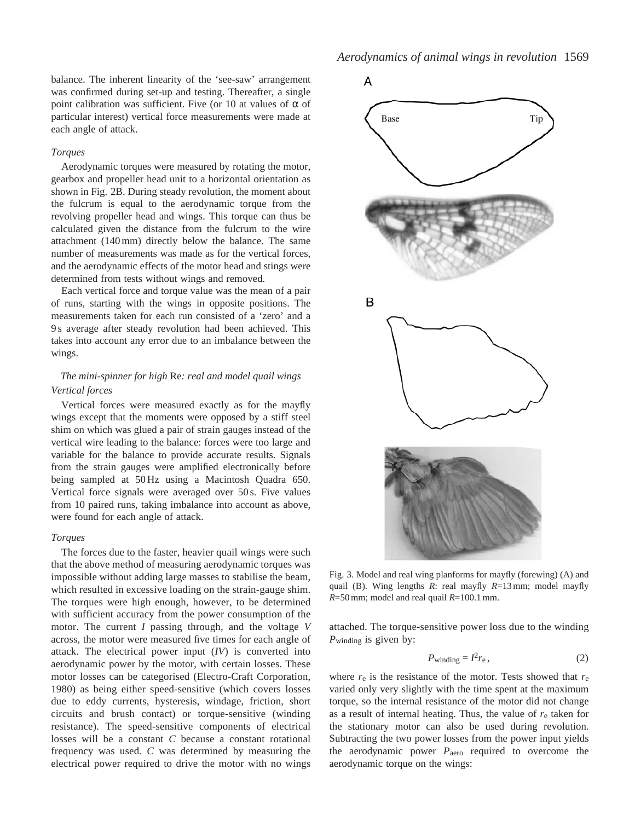balance. The inherent linearity of the 'see-saw' arrangement was confirmed during set-up and testing. Thereafter, a single point calibration was sufficient. Five (or 10 at values of α of particular interest) vertical force measurements were made at each angle of attack.

### *Torques*

Aerodynamic torques were measured by rotating the motor, gearbox and propeller head unit to a horizontal orientation as shown in Fig. 2B. During steady revolution, the moment about the fulcrum is equal to the aerodynamic torque from the revolving propeller head and wings. This torque can thus be calculated given the distance from the fulcrum to the wire attachment (140 mm) directly below the balance. The same number of measurements was made as for the vertical forces, and the aerodynamic effects of the motor head and stings were determined from tests without wings and removed.

Each vertical force and torque value was the mean of a pair of runs, starting with the wings in opposite positions. The measurements taken for each run consisted of a 'zero' and a 9 s average after steady revolution had been achieved. This takes into account any error due to an imbalance between the wings.

## *The mini-spinner for high* Re*: real and model quail wings Vertical forces*

Vertical forces were measured exactly as for the mayfly wings except that the moments were opposed by a stiff steel shim on which was glued a pair of strain gauges instead of the vertical wire leading to the balance: forces were too large and variable for the balance to provide accurate results. Signals from the strain gauges were amplified electronically before being sampled at 50 Hz using a Macintosh Quadra 650. Vertical force signals were averaged over 50 s. Five values from 10 paired runs, taking imbalance into account as above, were found for each angle of attack.

#### *Torques*

The forces due to the faster, heavier quail wings were such that the above method of measuring aerodynamic torques was impossible without adding large masses to stabilise the beam, which resulted in excessive loading on the strain-gauge shim. The torques were high enough, however, to be determined with sufficient accuracy from the power consumption of the motor. The current *I* passing through, and the voltage *V* across, the motor were measured five times for each angle of attack. The electrical power input (*IV*) is converted into aerodynamic power by the motor, with certain losses. These motor losses can be categorised (Electro-Craft Corporation, 1980) as being either speed-sensitive (which covers losses due to eddy currents, hysteresis, windage, friction, short circuits and brush contact) or torque-sensitive (winding resistance). The speed-sensitive components of electrical losses will be a constant *C* because a constant rotational frequency was used*. C* was determined by measuring the electrical power required to drive the motor with no wings



Fig. 3. Model and real wing planforms for mayfly (forewing) (A) and quail (B). Wing lengths *R*: real mayfly *R*=13 mm; model mayfly *R*=50 mm; model and real quail *R*=100.1 mm.

attached. The torque-sensitive power loss due to the winding *P*winding is given by:

$$
P_{\text{winding}} = I^2 r_{\text{e}},\tag{2}
$$

where  $r_e$  is the resistance of the motor. Tests showed that  $r_e$ varied only very slightly with the time spent at the maximum torque, so the internal resistance of the motor did not change as a result of internal heating. Thus, the value of *r*e taken for the stationary motor can also be used during revolution. Subtracting the two power losses from the power input yields the aerodynamic power *P*aero required to overcome the aerodynamic torque on the wings: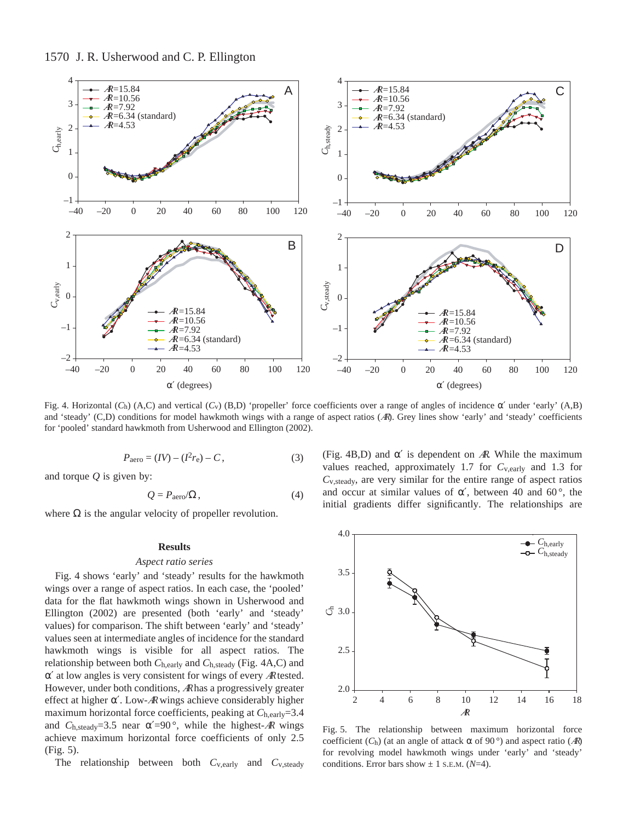

Fig. 4. Horizontal ( $C_h$ ) (A,C) and vertical ( $C_v$ ) (B,D) 'propeller' force coefficients over a range of angles of incidence  $\alpha'$  under 'early' (A,B) and 'steady' (C,D) conditions for model hawkmoth wings with a range of aspect ratios (AR). Grey lines show 'early' and 'steady' coefficients for 'pooled' standard hawkmoth from Usherwood and Ellington (2002).

$$
P_{\text{aero}} = (IV) - (I^2 r_{\text{e}}) - C, \tag{3}
$$

and torque *Q* is given by:

$$
Q = P_{\text{aero}}/\Omega, \tag{4}
$$

where  $\Omega$  is the angular velocity of propeller revolution.

## **Results**

#### *Aspect ratio series*

Fig. 4 shows 'early' and 'steady' results for the hawkmoth wings over a range of aspect ratios. In each case, the 'pooled' data for the flat hawkmoth wings shown in Usherwood and Ellington (2002) are presented (both 'early' and 'steady' values) for comparison. The shift between 'early' and 'steady' values seen at intermediate angles of incidence for the standard hawkmoth wings is visible for all aspect ratios. The relationship between both *C*h,early and *C*h,steady (Fig. 4A,C) and  $\alpha'$  at low angles is very consistent for wings of every AR tested. However, under both conditions, <sup>A</sup>Rhas a progressively greater effect at higher  $\alpha'$ . Low-AR wings achieve considerably higher maximum horizontal force coefficients, peaking at  $C_{h, \text{early}} = 3.4$ and  $C_{h,\text{steady}}=3.5$  near  $\alpha'=90^{\circ}$ , while the highest-AR wings achieve maximum horizontal force coefficients of only 2.5 (Fig. 5).

The relationship between both *C*v,early and *C*v,steady

(Fig. 4B,D) and  $\alpha'$  is dependent on AR. While the maximum values reached, approximately 1.7 for  $C_{v, \text{early}}$  and 1.3 for *C*v,steady, are very similar for the entire range of aspect ratios and occur at similar values of  $\alpha'$ , between 40 and 60 $^{\circ}$ , the initial gradients differ significantly. The relationships are



Fig. 5. The relationship between maximum horizontal force coefficient ( $C<sub>h</sub>$ ) (at an angle of attack  $\alpha$  of 90 $^{\circ}$ ) and aspect ratio ( $\mathcal{A}$ R) for revolving model hawkmoth wings under 'early' and 'steady' conditions. Error bars show  $\pm$  1 s.e.m. ( $N$ =4).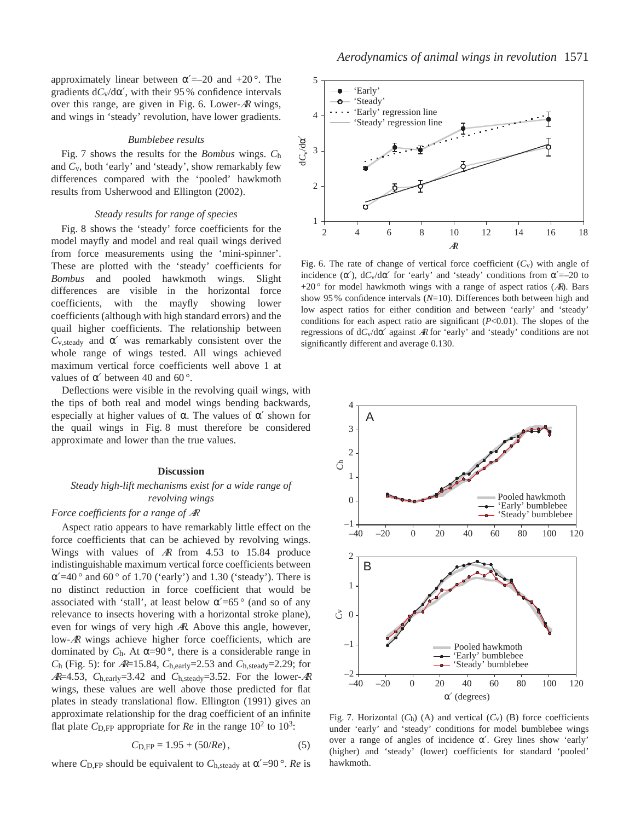approximately linear between  $\alpha'=-20$  and  $+20^{\circ}$ . The gradients  $dC_v/d\alpha'$ , with their 95 % confidence intervals over this range, are given in Fig. 6. Lower-<sup>A</sup><sup>R</sup> wings, and wings in 'steady' revolution, have lower gradients.

#### *Bumblebee results*

Fig. 7 shows the results for the *Bombus* wings. *C*h and *C*v, both 'early' and 'steady', show remarkably few differences compared with the 'pooled' hawkmoth results from Usherwood and Ellington (2002).

## *Steady results for range of species*

Fig. 8 shows the 'steady' force coefficients for the model mayfly and model and real quail wings derived from force measurements using the 'mini-spinner'. These are plotted with the 'steady' coefficients for *Bombus* and pooled hawkmoth wings. Slight differences are visible in the horizontal force coefficients, with the mayfly showing lower coefficients (although with high standard errors) and the quail higher coefficients. The relationship between  $C_{v,\text{steady}}$  and  $\alpha'$  was remarkably consistent over the whole range of wings tested. All wings achieved maximum vertical force coefficients well above 1 at values of  $α'$  between 40 and 60 $\degree$ .

Deflections were visible in the revolving quail wings, with the tips of both real and model wings bending backwards, especially at higher values of  $\alpha$ . The values of  $\alpha'$  shown for the quail wings in Fig. 8 must therefore be considered approximate and lower than the true values.

#### **Discussion**

## *Steady high-lift mechanisms exist for a wide range of revolving wings*

## *Force coefficients for a range of* <sup>A</sup><sup>R</sup>

Aspect ratio appears to have remarkably little effect on the force coefficients that can be achieved by revolving wings. Wings with values of <sup>A</sup><sup>R</sup> from 4.53 to 15.84 produce indistinguishable maximum vertical force coefficients between  $\alpha'$ =40° and 60° of 1.70 ('early') and 1.30 ('steady'). There is no distinct reduction in force coefficient that would be associated with 'stall', at least below  $\alpha' = 65^\circ$  (and so of any relevance to insects hovering with a horizontal stroke plane), even for wings of very high <sup>A</sup>R. Above this angle, however, low-<sup>A</sup><sup>R</sup> wings achieve higher force coefficients, which are dominated by  $C_h$ . At  $\alpha=90^\circ$ , there is a considerable range in *C*h (Fig. 5): for <sup>A</sup>R=15.84, *C*h,early=2.53 and *C*h,steady=2.29; for  $AR=4.53$ ,  $C_{h,early}=3.42$  and  $C_{h, steady}=3.52$ . For the lower-AR wings, these values are well above those predicted for flat plates in steady translational flow. Ellington (1991) gives an approximate relationship for the drag coefficient of an infinite flat plate  $C_{\text{D,FP}}$  appropriate for  $Re$  in the range  $10^2$  to  $10^3$ .

$$
C_{\text{D,FP}} = 1.95 + (50/Re), \tag{5}
$$

where  $C_{\text{D,FP}}$  should be equivalent to  $C_{\text{h,steady}}$  at  $\alpha' = 90^\circ$ . *Re* is



Fig. 6. The rate of change of vertical force coefficient  $(C_v)$  with angle of incidence  $(\alpha')$ ,  $dC_v/d\alpha'$  for 'early' and 'steady' conditions from  $\alpha'=-20$  to  $+20$ <sup>o</sup> for model hawkmoth wings with a range of aspect ratios (AR). Bars show 95 % confidence intervals (*N*=10). Differences both between high and low aspect ratios for either condition and between 'early' and 'steady' conditions for each aspect ratio are significant (*P*<0.01). The slopes of the regressions of d*C*v/dα′ against <sup>A</sup><sup>R</sup> for 'early' and 'steady' conditions are not significantly different and average 0.130.



Fig. 7. Horizontal  $(C_h)$  (A) and vertical  $(C_v)$  (B) force coefficients under 'early' and 'steady' conditions for model bumblebee wings over a range of angles of incidence α′. Grey lines show 'early' (higher) and 'steady' (lower) coefficients for standard 'pooled' hawkmoth.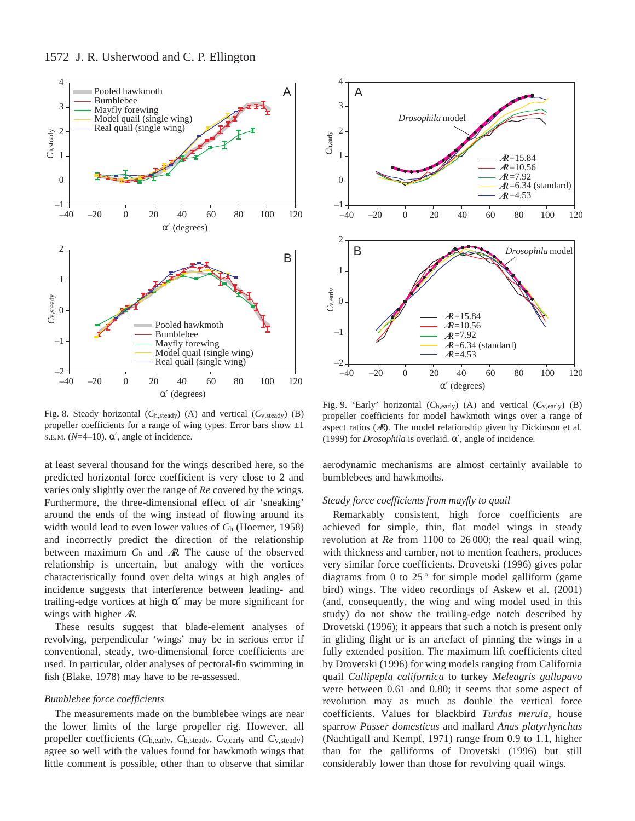

Fig. 8. Steady horizontal (*C*h,steady) (A) and vertical (*C*v,steady) (B) propeller coefficients for a range of wing types. Error bars show  $\pm 1$ S.E.M. ( $N=4-10$ ).  $\alpha'$ , angle of incidence.

at least several thousand for the wings described here, so the predicted horizontal force coefficient is very close to 2 and varies only slightly over the range of *Re* covered by the wings. Furthermore, the three-dimensional effect of air 'sneaking' around the ends of the wing instead of flowing around its width would lead to even lower values of *C*h (Hoerner, 1958) and incorrectly predict the direction of the relationship between maximum *C*h and <sup>A</sup>R. The cause of the observed relationship is uncertain, but analogy with the vortices characteristically found over delta wings at high angles of incidence suggests that interference between leading- and trailing-edge vortices at high  $\alpha'$  may be more significant for wings with higher AR.

These results suggest that blade-element analyses of revolving, perpendicular 'wings' may be in serious error if conventional, steady, two-dimensional force coefficients are used. In particular, older analyses of pectoral-fin swimming in fish (Blake, 1978) may have to be re-assessed.

## *Bumblebee force coefficients*

The measurements made on the bumblebee wings are near the lower limits of the large propeller rig. However, all propeller coefficients (*C*h,early, *C*h,steady, *C*v,early and *C*v,steady) agree so well with the values found for hawkmoth wings that little comment is possible, other than to observe that similar



Fig. 9. 'Early' horizontal (*C*h,early) (A) and vertical (*C*v,early) (B) propeller coefficients for model hawkmoth wings over a range of aspect ratios (<sup>A</sup>R). The model relationship given by Dickinson et al. (1999) for *Drosophila* is overlaid. α′, angle of incidence.

aerodynamic mechanisms are almost certainly available to bumblebees and hawkmoths.

### *Steady force coefficients from mayfly to quail*

Remarkably consistent, high force coefficients are achieved for simple, thin, flat model wings in steady revolution at *Re* from 1100 to 26 000; the real quail wing, with thickness and camber, not to mention feathers, produces very similar force coefficients. Drovetski (1996) gives polar diagrams from 0 to  $25^{\circ}$  for simple model galliform (game bird) wings. The video recordings of Askew et al. (2001) (and, consequently, the wing and wing model used in this study) do not show the trailing-edge notch described by Drovetski (1996); it appears that such a notch is present only in gliding flight or is an artefact of pinning the wings in a fully extended position. The maximum lift coefficients cited by Drovetski (1996) for wing models ranging from California quail *Callipepla californica* to turkey *Meleagris gallopavo* were between 0.61 and 0.80; it seems that some aspect of revolution may as much as double the vertical force coefficients. Values for blackbird *Turdus merula*, house sparrow *Passer domesticus* and mallard *Anas platyrhynchus* (Nachtigall and Kempf, 1971) range from 0.9 to 1.1, higher than for the galliforms of Drovetski (1996) but still considerably lower than those for revolving quail wings.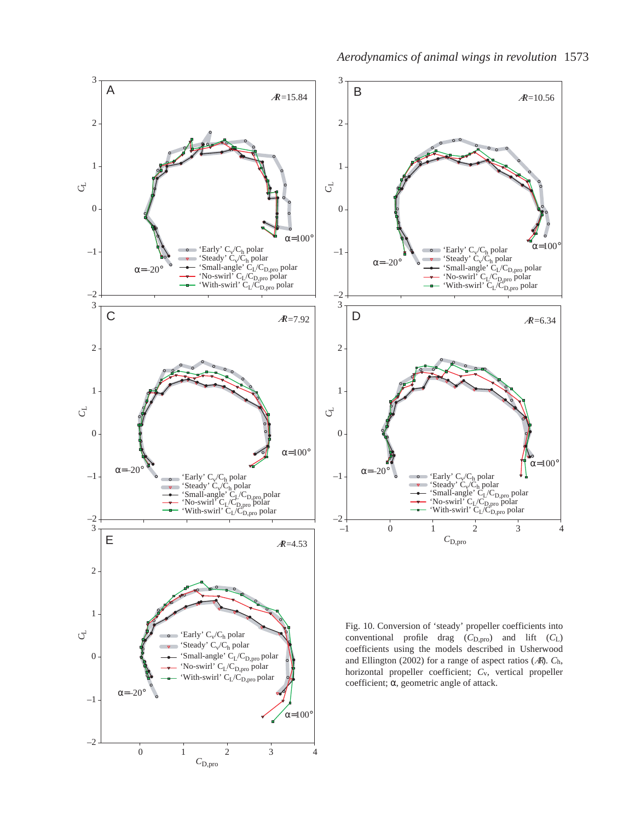



Fig. 10. Conversion of 'steady' propeller coefficients into conventional profile drag  $(C_{D,pro})$  and lift  $(C_L)$ coefficients using the models described in Usherwood and Ellington (2002) for a range of aspect ratios (<sup>A</sup>R). *C*h, horizontal propeller coefficient; *C*v, vertical propeller coefficient; α, geometric angle of attack.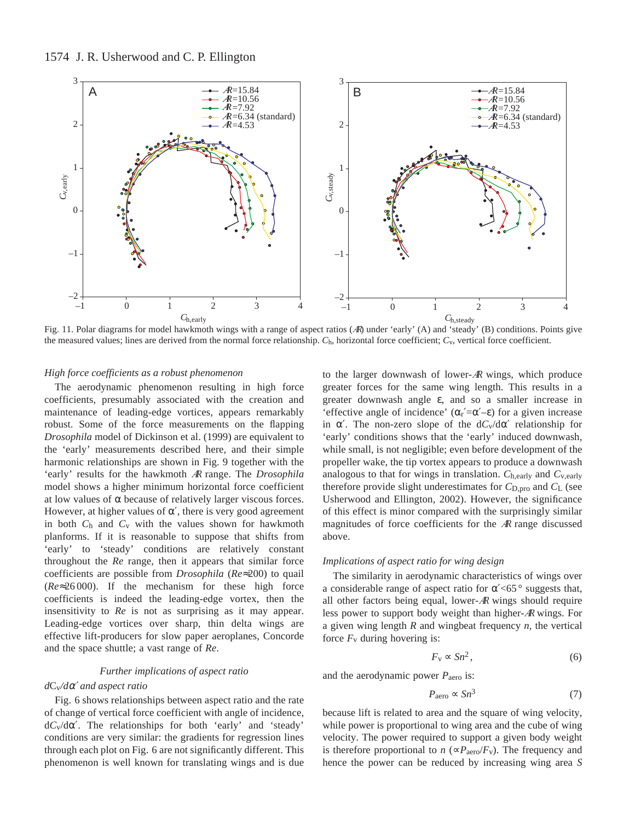

Fig. 11. Polar diagrams for model hawkmoth wings with a range of aspect ratios (AR) under 'early' (A) and 'steady' (B) conditions. Points give the measured values; lines are derived from the normal force relationship. *C*h, horizontal force coefficient; *C*v, vertical force coefficient.

#### *High force coefficients as a robust phenomenon*

The aerodynamic phenomenon resulting in high force coefficients, presumably associated with the creation and maintenance of leading-edge vortices, appears remarkably robust. Some of the force measurements on the flapping *Drosophila* model of Dickinson et al. (1999) are equivalent to the 'early' measurements described here, and their simple harmonic relationships are shown in Fig. 9 together with the 'early' results for the hawkmoth <sup>A</sup><sup>R</sup> range. The *Drosophila* model shows a higher minimum horizontal force coefficient at low values of  $\alpha$  because of relatively larger viscous forces. However, at higher values of  $\alpha'$ , there is very good agreement in both *C*h and *C*v with the values shown for hawkmoth planforms. If it is reasonable to suppose that shifts from 'early' to 'steady' conditions are relatively constant throughout the *Re* range, then it appears that similar force coefficients are possible from *Drosophila* (*Re*≈200) to quail (*Re*≈26 000). If the mechanism for these high force coefficients is indeed the leading-edge vortex, then the insensitivity to *Re* is not as surprising as it may appear. Leading-edge vortices over sharp, thin delta wings are effective lift-producers for slow paper aeroplanes, Concorde and the space shuttle; a vast range of *Re*.

#### *Further implications of aspect ratio*

## *d*Cv*/d*α′ *and aspect ratio*

Fig. 6 shows relationships between aspect ratio and the rate of change of vertical force coefficient with angle of incidence, d*C*v/dα′. The relationships for both 'early' and 'steady' conditions are very similar: the gradients for regression lines through each plot on Fig. 6 are not significantly different. This phenomenon is well known for translating wings and is due

to the larger downwash of lower- $AR$  wings, which produce greater forces for the same wing length. This results in a greater downwash angle ε, and so a smaller increase in 'effective angle of incidence'  $(\alpha r' = \alpha' - \epsilon)$  for a given increase in  $\alpha'$ . The non-zero slope of the  $dC_v/d\alpha'$  relationship for 'early' conditions shows that the 'early' induced downwash, while small, is not negligible; even before development of the propeller wake, the tip vortex appears to produce a downwash analogous to that for wings in translation. *C*h,early and *C*v,early therefore provide slight underestimates for  $C_{D,pro}$  and  $C_{L}$  (see Usherwood and Ellington, 2002). However, the significance of this effect is minor compared with the surprisingly similar magnitudes of force coefficients for the  $AR$  range discussed above.

### *Implications of aspect ratio for wing design*

The similarity in aerodynamic characteristics of wings over a considerable range of aspect ratio for  $\alpha' < 65^\circ$  suggests that, all other factors being equal, lower-<sup>A</sup><sup>R</sup> wings should require less power to support body weight than higher-<sup>A</sup><sup>R</sup> wings. For a given wing length *R* and wingbeat frequency *n*, the vertical force  $F_v$  during hovering is:

$$
F_{\rm v} \propto S n^2, \tag{6}
$$

and the aerodynamic power *P*aero is:

$$
P_{\rm aero} \propto S n^3 \tag{7}
$$

because lift is related to area and the square of wing velocity, while power is proportional to wing area and the cube of wing velocity. The power required to support a given body weight is therefore proportional to *n* ( $\propto P_{\text{aero}}/F_v$ ). The frequency and hence the power can be reduced by increasing wing area *S*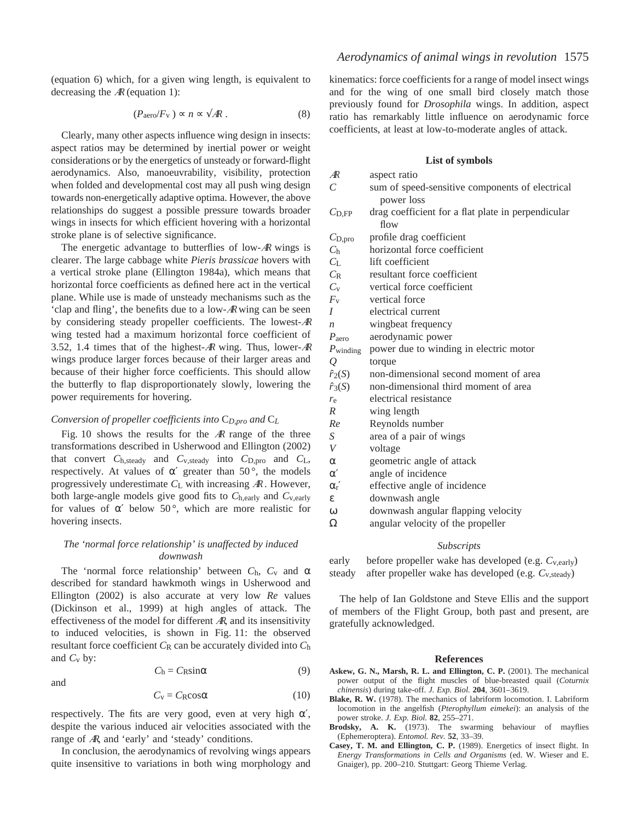(equation 6) which, for a given wing length, is equivalent to decreasing the  $AR$  (equation 1):

$$
(P_{\text{aero}}/F_{\text{v}}) \propto n \propto \sqrt{A}R \ . \tag{8}
$$

Clearly, many other aspects influence wing design in insects: aspect ratios may be determined by inertial power or weight considerations or by the energetics of unsteady or forward-flight aerodynamics. Also, manoeuvrability, visibility, protection when folded and developmental cost may all push wing design towards non-energetically adaptive optima. However, the above relationships do suggest a possible pressure towards broader wings in insects for which efficient hovering with a horizontal stroke plane is of selective significance.

The energetic advantage to butterflies of low- $\mathcal{A}$ R wings is clearer. The large cabbage white *Pieris brassicae* hovers with a vertical stroke plane (Ellington 1984a), which means that horizontal force coefficients as defined here act in the vertical plane. While use is made of unsteady mechanisms such as the 'clap and fling', the benefits due to a low-<sup>A</sup><sup>R</sup> wing can be seen by considering steady propeller coefficients. The lowest-<sup>A</sup><sup>R</sup> wing tested had a maximum horizontal force coefficient of 3.52, 1.4 times that of the highest-<sup>A</sup><sup>R</sup> wing. Thus, lower-<sup>A</sup><sup>R</sup> wings produce larger forces because of their larger areas and because of their higher force coefficients. This should allow the butterfly to flap disproportionately slowly, lowering the power requirements for hovering.

#### *Conversion of propeller coefficients into* C*D,pro and* C*L*

Fig. 10 shows the results for the  $AR$  range of the three transformations described in Usherwood and Ellington (2002) that convert *C*h,steady and *C*v,steady into *C*D,pro and *C*L, respectively. At values of  $\alpha'$  greater than 50 $^{\circ}$ , the models progressively underestimate *C*L with increasing <sup>A</sup><sup>R</sup> . However, both large-angle models give good fits to *C*h,early and *C*v,early for values of  $\alpha'$  below 50°, which are more realistic for hovering insects.

## *The 'normal force relationship' is unaffected by induced downwash*

The 'normal force relationship' between  $C_h$ ,  $C_v$  and  $\alpha$ described for standard hawkmoth wings in Usherwood and Ellington (2002) is also accurate at very low *Re* values (Dickinson et al., 1999) at high angles of attack. The effectiveness of the model for different  $AR$ , and its insensitivity to induced velocities, is shown in Fig. 11: the observed resultant force coefficient  $C_R$  can be accurately divided into  $C_h$ and  $C_v$  by:

$$
C_{\rm h} = C_{\rm R} \sin \alpha \tag{9}
$$

$$
C_{\rm v} = C_{\rm R} \cos \alpha \tag{10}
$$

respectively. The fits are very good, even at very high  $\alpha'$ , despite the various induced air velocities associated with the range of <sup>A</sup>R, and 'early' and 'steady' conditions.

and

In conclusion, the aerodynamics of revolving wings appears quite insensitive to variations in both wing morphology and kinematics: force coefficients for a range of model insect wings and for the wing of one small bird closely match those previously found for *Drosophila* wings. In addition, aspect ratio has remarkably little influence on aerodynamic force coefficients, at least at low-to-moderate angles of attack.

#### **List of symbols**

| $\mathcal{A}$ R      | aspect ratio                                       |
|----------------------|----------------------------------------------------|
| C                    | sum of speed-sensitive components of electrical    |
|                      | power loss                                         |
| $C_{\text{D.FP}}$    | drag coefficient for a flat plate in perpendicular |
|                      | flow                                               |
| $C_{\text{D,pro}}$   | profile drag coefficient                           |
| C <sub>h</sub>       | horizontal force coefficient                       |
| $C_{\rm L}$          | lift coefficient                                   |
| $C_{R}$              | resultant force coefficient                        |
| $C_{V}$              | vertical force coefficient                         |
| $F_{\rm v}$          | vertical force                                     |
| $\overline{I}$       | electrical current                                 |
| $\boldsymbol{n}$     | wingbeat frequency                                 |
| $P_{\text{aero}}$    | aerodynamic power                                  |
| $P_{\text{winding}}$ | power due to winding in electric motor             |
| Q                    | torque                                             |
| $\hat{r}_2(S)$       | non-dimensional second moment of area              |
| $\hat{r}_3(S)$       | non-dimensional third moment of area               |
| $r_{\rm e}$          | electrical resistance                              |
| $\overline{R}$       | wing length                                        |
| Re                   | Reynolds number                                    |
| S                    | area of a pair of wings                            |
| V                    | voltage                                            |
| $\alpha$             | geometric angle of attack                          |
| $\alpha'$            | angle of incidence                                 |
| $\alpha_{\rm r}$     | effective angle of incidence                       |
| ε                    | downwash angle                                     |
| $\omega$             | downwash angular flapping velocity                 |
| Ω                    | angular velocity of the propeller                  |
|                      |                                                    |

#### *Subscripts*

early before propeller wake has developed (e.g.  $C_{v, \text{early}}$ ) steady after propeller wake has developed (e.g. *C*v,steady)

The help of Ian Goldstone and Steve Ellis and the support of members of the Flight Group, both past and present, are gratefully acknowledged.

#### **References**

- **Askew, G. N., Marsh, R. L. and Ellington, C. P.** (2001). The mechanical power output of the flight muscles of blue-breasted quail (*Coturnix chinensis*) during take-off. *J. Exp. Biol.* **204**, 3601–3619.
- **Blake, R. W.** (1978). The mechanics of labriform locomotion. I. Labriform locomotion in the angelfish (*Pterophyllum eimekei*): an analysis of the power stroke. *J. Exp. Biol.* **82**, 255–271.
- **Brodsky, A. K.** (1973). The swarming behaviour of mayflies (Ephemeroptera). *Entomol. Rev.* **52**, 33–39.
- **Casey, T. M. and Ellington, C. P.** (1989). Energetics of insect flight. In *Energy Transformations in Cells and Organisms* (ed. W. Wieser and E. Gnaiger), pp. 200–210. Stuttgart: Georg Thieme Verlag.